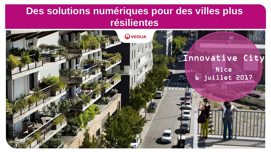# **Des solutions numériques pour des villes plus résilientes**

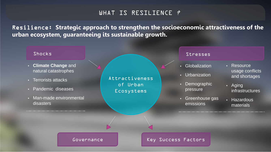### WHAT IS RESILIENCE ?

Resilience: **Strategic approach to strengthen the socioeconomic attractiveness of the urban ecosystem, guaranteeing its sustainable growth.**

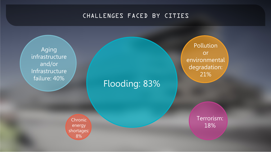## CHALLENGES FACED BY CITIES

Aging infrastructure and/or Infrastructure failure: 40%

Flooding: 83%

**Chronic** energy shortages: 8%

Pollution or environmental degradation: 21%

> Terrorism: 18%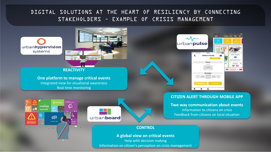### DIGITAL SOLUTIONS AT THE HEART OF RESILIENCY BY CONNECTING STAKEHOLDERS – EXAMPLE OF CRISIS MANAGEMENT